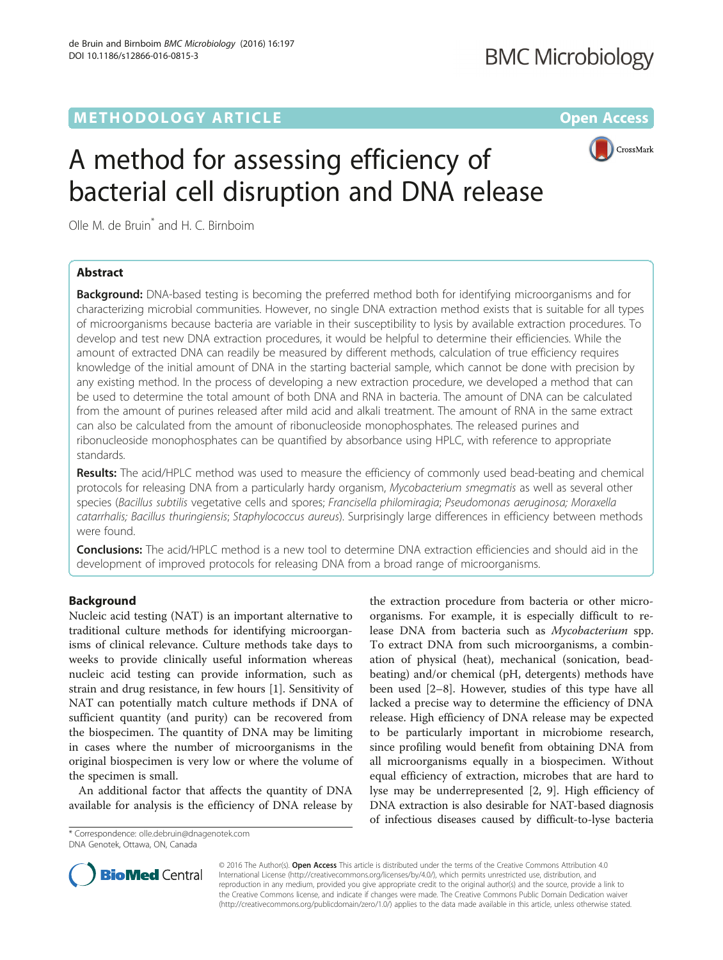# **METHODOLOGY ARTICLE CONSUMING A RESERVE ALCOHOLOGY ARTICLE**



# A method for assessing efficiency of bacterial cell disruption and DNA release

Olle M. de Bruin\* and H. C. Birnboim

## Abstract

**Background:** DNA-based testing is becoming the preferred method both for identifying microorganisms and for characterizing microbial communities. However, no single DNA extraction method exists that is suitable for all types of microorganisms because bacteria are variable in their susceptibility to lysis by available extraction procedures. To develop and test new DNA extraction procedures, it would be helpful to determine their efficiencies. While the amount of extracted DNA can readily be measured by different methods, calculation of true efficiency requires knowledge of the initial amount of DNA in the starting bacterial sample, which cannot be done with precision by any existing method. In the process of developing a new extraction procedure, we developed a method that can be used to determine the total amount of both DNA and RNA in bacteria. The amount of DNA can be calculated from the amount of purines released after mild acid and alkali treatment. The amount of RNA in the same extract can also be calculated from the amount of ribonucleoside monophosphates. The released purines and ribonucleoside monophosphates can be quantified by absorbance using HPLC, with reference to appropriate standards.

Results: The acid/HPLC method was used to measure the efficiency of commonly used bead-beating and chemical protocols for releasing DNA from a particularly hardy organism, Mycobacterium smegmatis as well as several other species (Bacillus subtilis vegetative cells and spores; Francisella philomiragia; Pseudomonas aeruginosa; Moraxella catarrhalis; Bacillus thuringiensis; Staphylococcus aureus). Surprisingly large differences in efficiency between methods were found.

**Conclusions:** The acid/HPLC method is a new tool to determine DNA extraction efficiencies and should aid in the development of improved protocols for releasing DNA from a broad range of microorganisms.

## Background

Nucleic acid testing (NAT) is an important alternative to traditional culture methods for identifying microorganisms of clinical relevance. Culture methods take days to weeks to provide clinically useful information whereas nucleic acid testing can provide information, such as strain and drug resistance, in few hours [[1\]](#page-9-0). Sensitivity of NAT can potentially match culture methods if DNA of sufficient quantity (and purity) can be recovered from the biospecimen. The quantity of DNA may be limiting in cases where the number of microorganisms in the original biospecimen is very low or where the volume of the specimen is small.

An additional factor that affects the quantity of DNA available for analysis is the efficiency of DNA release by

\* Correspondence: [olle.debruin@dnagenotek.com](mailto:olle.debruin@dnagenotek.com) DNA Genotek, Ottawa, ON, Canada

the extraction procedure from bacteria or other microorganisms. For example, it is especially difficult to release DNA from bacteria such as Mycobacterium spp. To extract DNA from such microorganisms, a combination of physical (heat), mechanical (sonication, beadbeating) and/or chemical (pH, detergents) methods have been used [\[2](#page-9-0)–[8\]](#page-9-0). However, studies of this type have all lacked a precise way to determine the efficiency of DNA release. High efficiency of DNA release may be expected to be particularly important in microbiome research, since profiling would benefit from obtaining DNA from all microorganisms equally in a biospecimen. Without equal efficiency of extraction, microbes that are hard to lyse may be underrepresented [\[2, 9](#page-9-0)]. High efficiency of DNA extraction is also desirable for NAT-based diagnosis of infectious diseases caused by difficult-to-lyse bacteria



© 2016 The Author(s). Open Access This article is distributed under the terms of the Creative Commons Attribution 4.0 International License [\(http://creativecommons.org/licenses/by/4.0/](http://creativecommons.org/licenses/by/4.0/)), which permits unrestricted use, distribution, and reproduction in any medium, provided you give appropriate credit to the original author(s) and the source, provide a link to the Creative Commons license, and indicate if changes were made. The Creative Commons Public Domain Dedication waiver [\(http://creativecommons.org/publicdomain/zero/1.0/](http://creativecommons.org/publicdomain/zero/1.0/)) applies to the data made available in this article, unless otherwise stated.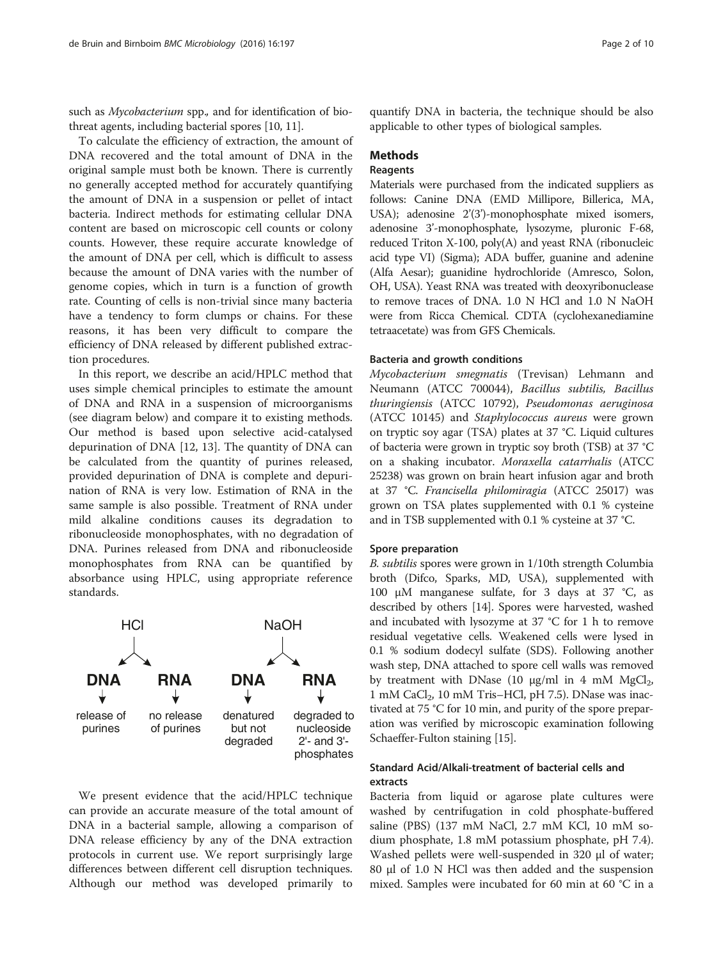<span id="page-1-0"></span>such as *Mycobacterium* spp., and for identification of biothreat agents, including bacterial spores [[10, 11\]](#page-9-0).

To calculate the efficiency of extraction, the amount of DNA recovered and the total amount of DNA in the original sample must both be known. There is currently no generally accepted method for accurately quantifying the amount of DNA in a suspension or pellet of intact bacteria. Indirect methods for estimating cellular DNA content are based on microscopic cell counts or colony counts. However, these require accurate knowledge of the amount of DNA per cell, which is difficult to assess because the amount of DNA varies with the number of genome copies, which in turn is a function of growth rate. Counting of cells is non-trivial since many bacteria have a tendency to form clumps or chains. For these reasons, it has been very difficult to compare the efficiency of DNA released by different published extraction procedures.

In this report, we describe an acid/HPLC method that uses simple chemical principles to estimate the amount of DNA and RNA in a suspension of microorganisms (see diagram below) and compare it to existing methods. Our method is based upon selective acid-catalysed depurination of DNA [\[12](#page-9-0), [13](#page-9-0)]. The quantity of DNA can be calculated from the quantity of purines released, provided depurination of DNA is complete and depurination of RNA is very low. Estimation of RNA in the same sample is also possible. Treatment of RNA under mild alkaline conditions causes its degradation to ribonucleoside monophosphates, with no degradation of DNA. Purines released from DNA and ribonucleoside monophosphates from RNA can be quantified by absorbance using HPLC, using appropriate reference standards.



We present evidence that the acid/HPLC technique can provide an accurate measure of the total amount of DNA in a bacterial sample, allowing a comparison of DNA release efficiency by any of the DNA extraction protocols in current use. We report surprisingly large differences between different cell disruption techniques. Although our method was developed primarily to quantify DNA in bacteria, the technique should be also applicable to other types of biological samples.

#### Methods

## **Reagents**

Materials were purchased from the indicated suppliers as follows: Canine DNA (EMD Millipore, Billerica, MA, USA); adenosine 2'(3')-monophosphate mixed isomers, adenosine 3'-monophosphate, lysozyme, pluronic F-68, reduced Triton X-100, poly(A) and yeast RNA (ribonucleic acid type VI) (Sigma); ADA buffer, guanine and adenine (Alfa Aesar); guanidine hydrochloride (Amresco, Solon, OH, USA). Yeast RNA was treated with deoxyribonuclease to remove traces of DNA. 1.0 N HCl and 1.0 N NaOH were from Ricca Chemical. CDTA (cyclohexanediamine tetraacetate) was from GFS Chemicals.

#### Bacteria and growth conditions

Mycobacterium smegmatis (Trevisan) Lehmann and Neumann (ATCC 700044), Bacillus subtilis, Bacillus thuringiensis (ATCC 10792), Pseudomonas aeruginosa (ATCC 10145) and Staphylococcus aureus were grown on tryptic soy agar (TSA) plates at 37 °C. Liquid cultures of bacteria were grown in tryptic soy broth (TSB) at 37 °C on a shaking incubator. Moraxella catarrhalis (ATCC 25238) was grown on brain heart infusion agar and broth at 37 °C. Francisella philomiragia (ATCC 25017) was grown on TSA plates supplemented with 0.1 % cysteine and in TSB supplemented with 0.1 % cysteine at 37 °C.

#### Spore preparation

B. subtilis spores were grown in 1/10th strength Columbia broth (Difco, Sparks, MD, USA), supplemented with 100 μM manganese sulfate, for 3 days at 37 °C, as described by others [\[14\]](#page-9-0). Spores were harvested, washed and incubated with lysozyme at 37 °C for 1 h to remove residual vegetative cells. Weakened cells were lysed in 0.1 % sodium dodecyl sulfate (SDS). Following another wash step, DNA attached to spore cell walls was removed by treatment with DNase (10 μg/ml in 4 mM  $MgCl<sub>2</sub>$ , 1 mM CaCl<sub>2</sub>, 10 mM Tris-HCl, pH 7.5). DNase was inactivated at 75 °C for 10 min, and purity of the spore preparation was verified by microscopic examination following Schaeffer-Fulton staining [\[15](#page-9-0)].

## Standard Acid/Alkali-treatment of bacterial cells and extracts

Bacteria from liquid or agarose plate cultures were washed by centrifugation in cold phosphate-buffered saline (PBS) (137 mM NaCl, 2.7 mM KCl, 10 mM sodium phosphate, 1.8 mM potassium phosphate, pH 7.4). Washed pellets were well-suspended in 320 μl of water; 80 μl of 1.0 N HCl was then added and the suspension mixed. Samples were incubated for 60 min at 60 °C in a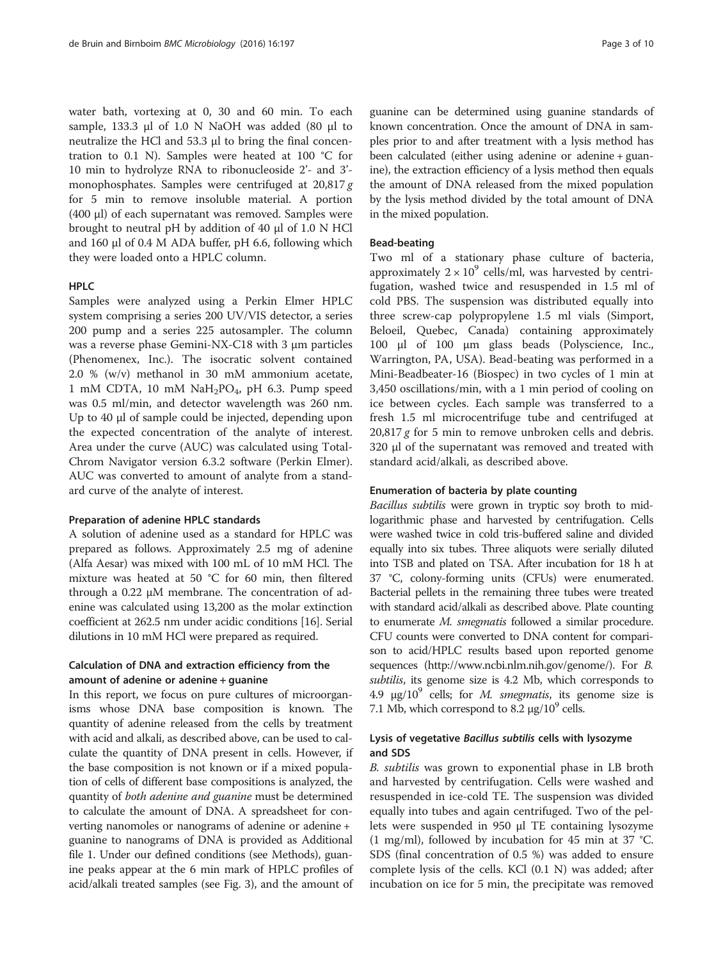water bath, vortexing at 0, 30 and 60 min. To each sample, 133.3 μl of 1.0 N NaOH was added (80 μl to neutralize the HCl and 53.3 μl to bring the final concentration to 0.1 N). Samples were heated at 100 °C for 10 min to hydrolyze RNA to ribonucleoside 2'- and 3' monophosphates. Samples were centrifuged at 20,817 g for 5 min to remove insoluble material. A portion (400 μl) of each supernatant was removed. Samples were brought to neutral pH by addition of 40 μl of 1.0 N HCl and 160 μl of 0.4 M ADA buffer, pH 6.6, following which they were loaded onto a HPLC column.

#### HPLC

Samples were analyzed using a Perkin Elmer HPLC system comprising a series 200 UV/VIS detector, a series 200 pump and a series 225 autosampler. The column was a reverse phase Gemini-NX-C18 with 3 μm particles (Phenomenex, Inc.). The isocratic solvent contained 2.0 % (w/v) methanol in 30 mM ammonium acetate, 1 mM CDTA, 10 mM NaH<sub>2</sub>PO<sub>4</sub>, pH 6.3. Pump speed was 0.5 ml/min, and detector wavelength was 260 nm. Up to 40 μl of sample could be injected, depending upon the expected concentration of the analyte of interest. Area under the curve (AUC) was calculated using Total-Chrom Navigator version 6.3.2 software (Perkin Elmer). AUC was converted to amount of analyte from a standard curve of the analyte of interest.

#### Preparation of adenine HPLC standards

A solution of adenine used as a standard for HPLC was prepared as follows. Approximately 2.5 mg of adenine (Alfa Aesar) was mixed with 100 mL of 10 mM HCl. The mixture was heated at 50 °C for 60 min, then filtered through a 0.22 μM membrane. The concentration of adenine was calculated using 13,200 as the molar extinction coefficient at 262.5 nm under acidic conditions [[16\]](#page-9-0). Serial dilutions in 10 mM HCl were prepared as required.

## Calculation of DNA and extraction efficiency from the amount of adenine or adenine + guanine

In this report, we focus on pure cultures of microorganisms whose DNA base composition is known. The quantity of adenine released from the cells by treatment with acid and alkali, as described above, can be used to calculate the quantity of DNA present in cells. However, if the base composition is not known or if a mixed population of cells of different base compositions is analyzed, the quantity of both adenine and guanine must be determined to calculate the amount of DNA. A spreadsheet for converting nanomoles or nanograms of adenine or adenine + guanine to nanograms of DNA is provided as Additional file [1.](#page-8-0) Under our defined conditions (see [Methods](#page-1-0)), guanine peaks appear at the 6 min mark of HPLC profiles of acid/alkali treated samples (see Fig. [3](#page-6-0)), and the amount of

guanine can be determined using guanine standards of known concentration. Once the amount of DNA in samples prior to and after treatment with a lysis method has been calculated (either using adenine or adenine + guanine), the extraction efficiency of a lysis method then equals the amount of DNA released from the mixed population by the lysis method divided by the total amount of DNA in the mixed population.

## Bead-beating

Two ml of a stationary phase culture of bacteria, approximately  $2 \times 10^9$  cells/ml, was harvested by centrifugation, washed twice and resuspended in 1.5 ml of cold PBS. The suspension was distributed equally into three screw-cap polypropylene 1.5 ml vials (Simport, Beloeil, Quebec, Canada) containing approximately 100 μl of 100 μm glass beads (Polyscience, Inc., Warrington, PA, USA). Bead-beating was performed in a Mini-Beadbeater-16 (Biospec) in two cycles of 1 min at 3,450 oscillations/min, with a 1 min period of cooling on ice between cycles. Each sample was transferred to a fresh 1.5 ml microcentrifuge tube and centrifuged at  $20,817$  g for 5 min to remove unbroken cells and debris. 320 μl of the supernatant was removed and treated with standard acid/alkali, as described above.

#### Enumeration of bacteria by plate counting

Bacillus subtilis were grown in tryptic soy broth to midlogarithmic phase and harvested by centrifugation. Cells were washed twice in cold tris-buffered saline and divided equally into six tubes. Three aliquots were serially diluted into TSB and plated on TSA. After incubation for 18 h at 37 °C, colony-forming units (CFUs) were enumerated. Bacterial pellets in the remaining three tubes were treated with standard acid/alkali as described above. Plate counting to enumerate M. smegmatis followed a similar procedure. CFU counts were converted to DNA content for comparison to acid/HPLC results based upon reported genome sequences [\(http://www.ncbi.nlm.nih.gov/genome/\)](http://www.ncbi.nlm.nih.gov/genome/). For B. subtilis, its genome size is 4.2 Mb, which corresponds to 4.9  $\mu$ g/10<sup>9</sup> cells; for *M. smegmatis*, its genome size is 7.1 Mb, which correspond to 8.2  $\mu$ g/10<sup>9</sup> cells.

## Lysis of vegetative Bacillus subtilis cells with lysozyme and SDS

B. subtilis was grown to exponential phase in LB broth and harvested by centrifugation. Cells were washed and resuspended in ice-cold TE. The suspension was divided equally into tubes and again centrifuged. Two of the pellets were suspended in 950 μl TE containing lysozyme (1 mg/ml), followed by incubation for 45 min at 37 °C. SDS (final concentration of 0.5 %) was added to ensure complete lysis of the cells. KCl (0.1 N) was added; after incubation on ice for 5 min, the precipitate was removed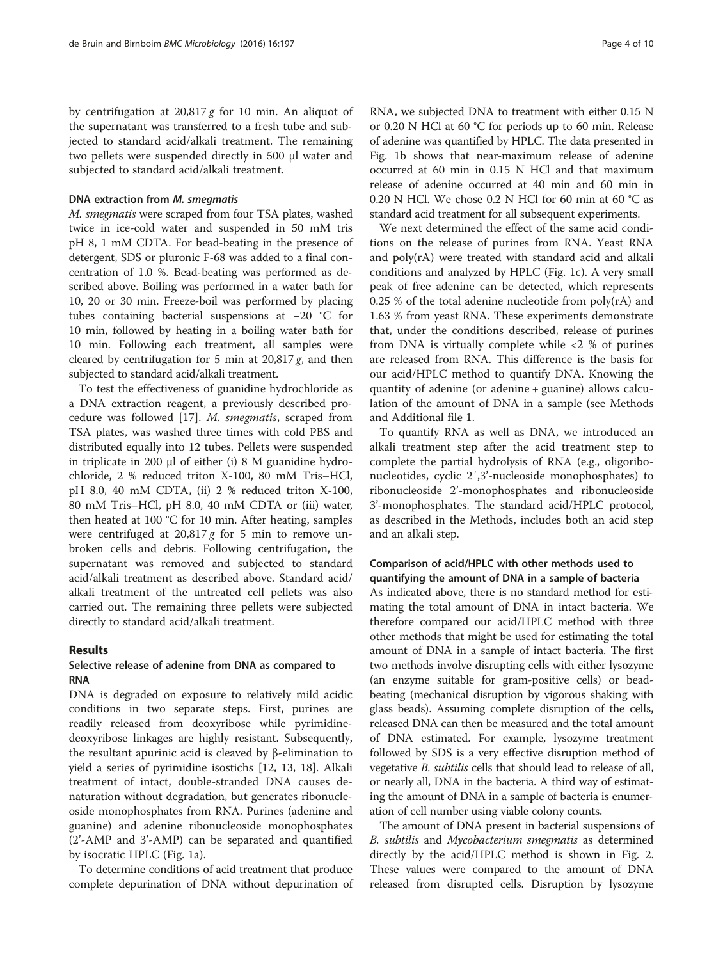by centrifugation at  $20,817$  g for 10 min. An aliquot of the supernatant was transferred to a fresh tube and subjected to standard acid/alkali treatment. The remaining two pellets were suspended directly in 500 μl water and subjected to standard acid/alkali treatment.

#### DNA extraction from M. smegmatis

M. smegmatis were scraped from four TSA plates, washed twice in ice-cold water and suspended in 50 mM tris pH 8, 1 mM CDTA. For bead-beating in the presence of detergent, SDS or pluronic F-68 was added to a final concentration of 1.0 %. Bead-beating was performed as described above. Boiling was performed in a water bath for 10, 20 or 30 min. Freeze-boil was performed by placing tubes containing bacterial suspensions at −20 °C for 10 min, followed by heating in a boiling water bath for 10 min. Following each treatment, all samples were cleared by centrifugation for 5 min at  $20,817$  g, and then subjected to standard acid/alkali treatment.

To test the effectiveness of guanidine hydrochloride as a DNA extraction reagent, a previously described procedure was followed [[17](#page-9-0)]. M. smegmatis, scraped from TSA plates, was washed three times with cold PBS and distributed equally into 12 tubes. Pellets were suspended in triplicate in 200 μl of either (i) 8 M guanidine hydrochloride, 2 % reduced triton X-100, 80 mM Tris–HCl, pH 8.0, 40 mM CDTA, (ii) 2 % reduced triton X-100, 80 mM Tris–HCl, pH 8.0, 40 mM CDTA or (iii) water, then heated at 100 °C for 10 min. After heating, samples were centrifuged at  $20,817$  g for 5 min to remove unbroken cells and debris. Following centrifugation, the supernatant was removed and subjected to standard acid/alkali treatment as described above. Standard acid/ alkali treatment of the untreated cell pellets was also carried out. The remaining three pellets were subjected directly to standard acid/alkali treatment.

## Results

## Selective release of adenine from DNA as compared to RNA

DNA is degraded on exposure to relatively mild acidic conditions in two separate steps. First, purines are readily released from deoxyribose while pyrimidinedeoxyribose linkages are highly resistant. Subsequently, the resultant apurinic acid is cleaved by β-elimination to yield a series of pyrimidine isostichs [[12, 13, 18](#page-9-0)]. Alkali treatment of intact, double-stranded DNA causes denaturation without degradation, but generates ribonucleoside monophosphates from RNA. Purines (adenine and guanine) and adenine ribonucleoside monophosphates (2'-AMP and 3'-AMP) can be separated and quantified by isocratic HPLC (Fig. [1a](#page-4-0)).

To determine conditions of acid treatment that produce complete depurination of DNA without depurination of

RNA, we subjected DNA to treatment with either 0.15 N or 0.20 N HCl at 60 °C for periods up to 60 min. Release of adenine was quantified by HPLC. The data presented in Fig. [1b](#page-4-0) shows that near-maximum release of adenine occurred at 60 min in 0.15 N HCl and that maximum release of adenine occurred at 40 min and 60 min in 0.20 N HCl. We chose 0.2 N HCl for 60 min at 60 °C as standard acid treatment for all subsequent experiments.

We next determined the effect of the same acid conditions on the release of purines from RNA. Yeast RNA and poly(rA) were treated with standard acid and alkali conditions and analyzed by HPLC (Fig. [1c\)](#page-4-0). A very small peak of free adenine can be detected, which represents 0.25 % of the total adenine nucleotide from  $poly(rA)$  and 1.63 % from yeast RNA. These experiments demonstrate that, under the conditions described, release of purines from DNA is virtually complete while <2 % of purines are released from RNA. This difference is the basis for our acid/HPLC method to quantify DNA. Knowing the quantity of adenine (or adenine + guanine) allows calculation of the amount of DNA in a sample (see [Methods](#page-1-0) and Additional file [1.](#page-8-0)

To quantify RNA as well as DNA, we introduced an alkali treatment step after the acid treatment step to complete the partial hydrolysis of RNA (e.g., oligoribonucleotides, cyclic 2′,3'-nucleoside monophosphates) to ribonucleoside 2'-monophosphates and ribonucleoside 3'-monophosphates. The standard acid/HPLC protocol, as described in the Methods, includes both an acid step and an alkali step.

# Comparison of acid/HPLC with other methods used to quantifying the amount of DNA in a sample of bacteria

As indicated above, there is no standard method for estimating the total amount of DNA in intact bacteria. We therefore compared our acid/HPLC method with three other methods that might be used for estimating the total amount of DNA in a sample of intact bacteria. The first two methods involve disrupting cells with either lysozyme (an enzyme suitable for gram-positive cells) or beadbeating (mechanical disruption by vigorous shaking with glass beads). Assuming complete disruption of the cells, released DNA can then be measured and the total amount of DNA estimated. For example, lysozyme treatment followed by SDS is a very effective disruption method of vegetative B. subtilis cells that should lead to release of all, or nearly all, DNA in the bacteria. A third way of estimating the amount of DNA in a sample of bacteria is enumeration of cell number using viable colony counts.

The amount of DNA present in bacterial suspensions of B. subtilis and Mycobacterium smegmatis as determined directly by the acid/HPLC method is shown in Fig. [2](#page-5-0). These values were compared to the amount of DNA released from disrupted cells. Disruption by lysozyme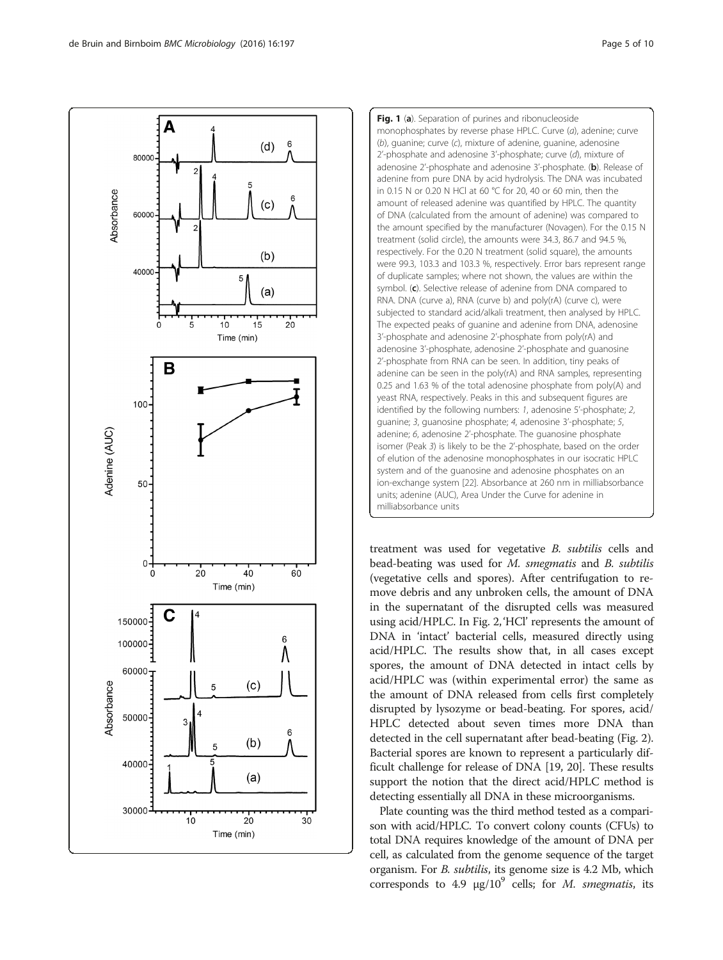<span id="page-4-0"></span>

Fig. 1 (a). Separation of purines and ribonucleoside monophosphates by reverse phase HPLC. Curve (a), adenine; curve (b), guanine; curve (c), mixture of adenine, guanine, adenosine 2'-phosphate and adenosine 3'-phosphate; curve (d), mixture of adenosine 2'-phosphate and adenosine 3'-phosphate. (b). Release of adenine from pure DNA by acid hydrolysis. The DNA was incubated in 0.15 N or 0.20 N HCl at 60 °C for 20, 40 or 60 min, then the amount of released adenine was quantified by HPLC. The quantity of DNA (calculated from the amount of adenine) was compared to the amount specified by the manufacturer (Novagen). For the 0.15 N treatment (solid circle), the amounts were 34.3, 86.7 and 94.5 %, respectively. For the 0.20 N treatment (solid square), the amounts were 99.3, 103.3 and 103.3 %, respectively. Error bars represent range of duplicate samples; where not shown, the values are within the symbol. (c). Selective release of adenine from DNA compared to RNA. DNA (curve a), RNA (curve b) and poly(rA) (curve c), were subjected to standard acid/alkali treatment, then analysed by HPLC. The expected peaks of guanine and adenine from DNA, adenosine 3'-phosphate and adenosine 2'-phosphate from poly(rA) and adenosine 3'-phosphate, adenosine 2'-phosphate and guanosine 2'-phosphate from RNA can be seen. In addition, tiny peaks of adenine can be seen in the poly(rA) and RNA samples, representing 0.25 and 1.63 % of the total adenosine phosphate from poly(A) and yeast RNA, respectively. Peaks in this and subsequent figures are identified by the following numbers: 1, adenosine 5'-phosphate; 2, guanine; 3, guanosine phosphate; 4, adenosine 3'-phosphate; 5, adenine; 6, adenosine 2'-phosphate. The guanosine phosphate isomer (Peak 3) is likely to be the 2'-phosphate, based on the order of elution of the adenosine monophosphates in our isocratic HPLC system and of the guanosine and adenosine phosphates on an ion-exchange system [[22\]](#page-9-0). Absorbance at 260 nm in milliabsorbance units; adenine (AUC), Area Under the Curve for adenine in milliabsorbance units

treatment was used for vegetative B. subtilis cells and bead-beating was used for M. smegmatis and B. subtilis (vegetative cells and spores). After centrifugation to remove debris and any unbroken cells, the amount of DNA in the supernatant of the disrupted cells was measured using acid/HPLC. In Fig. [2](#page-5-0), 'HCl' represents the amount of DNA in 'intact' bacterial cells, measured directly using acid/HPLC. The results show that, in all cases except spores, the amount of DNA detected in intact cells by acid/HPLC was (within experimental error) the same as the amount of DNA released from cells first completely disrupted by lysozyme or bead-beating. For spores, acid/ HPLC detected about seven times more DNA than detected in the cell supernatant after bead-beating (Fig. [2](#page-5-0)). Bacterial spores are known to represent a particularly difficult challenge for release of DNA [\[19, 20\]](#page-9-0). These results support the notion that the direct acid/HPLC method is detecting essentially all DNA in these microorganisms.

Plate counting was the third method tested as a comparison with acid/HPLC. To convert colony counts (CFUs) to total DNA requires knowledge of the amount of DNA per cell, as calculated from the genome sequence of the target organism. For B. subtilis, its genome size is 4.2 Mb, which corresponds to 4.9  $\mu$ g/10<sup>9</sup> cells; for *M. smegmatis*, its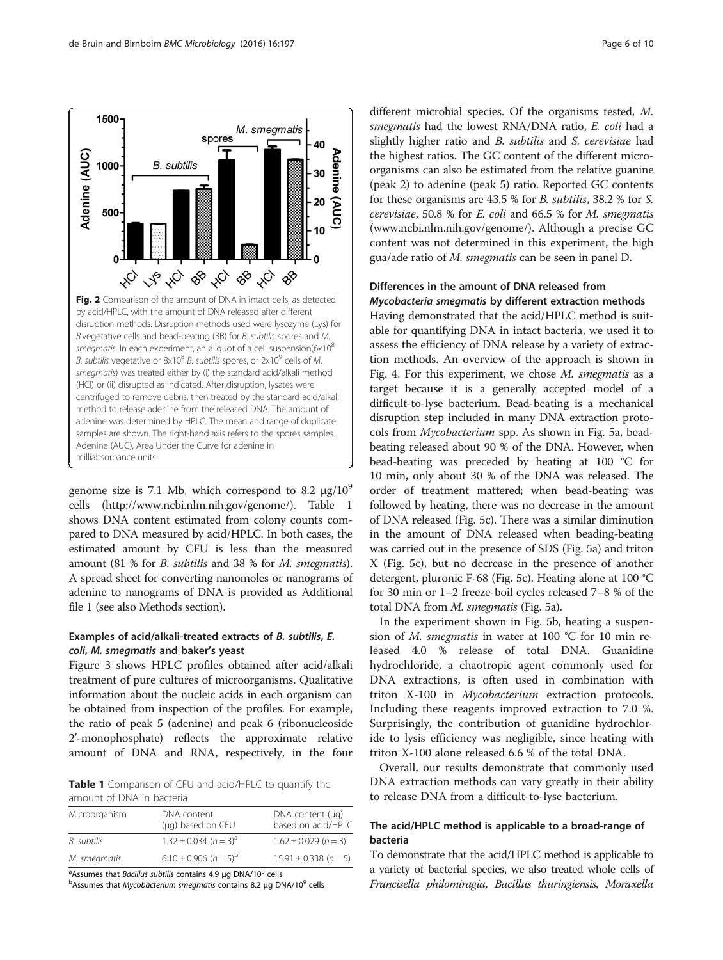<span id="page-5-0"></span>

genome size is 7.1 Mb, which correspond to 8.2 μg/ $10<sup>9</sup>$ cells [\(http://www.ncbi.nlm.nih.gov/genome/\)](http://www.ncbi.nlm.nih.gov/genome/). Table 1 shows DNA content estimated from colony counts compared to DNA measured by acid/HPLC. In both cases, the estimated amount by CFU is less than the measured amount (81 % for B. subtilis and 38 % for M. smegmatis). A spread sheet for converting nanomoles or nanograms of adenine to nanograms of DNA is provided as Additional file [1](#page-8-0) (see also [Methods](#page-1-0) section).

## Examples of acid/alkali-treated extracts of B. subtilis, E. coli, M. smegmatis and baker's yeast

Figure [3](#page-6-0) shows HPLC profiles obtained after acid/alkali treatment of pure cultures of microorganisms. Qualitative information about the nucleic acids in each organism can be obtained from inspection of the profiles. For example, the ratio of peak 5 (adenine) and peak 6 (ribonucleoside 2'-monophosphate) reflects the approximate relative amount of DNA and RNA, respectively, in the four

Table 1 Comparison of CFU and acid/HPLC to quantify the amount of DNA in bacteria

| Microorganism | DNA content<br>(µg) based on CFU      | DNA content (µq)<br>based on acid/HPLC |
|---------------|---------------------------------------|----------------------------------------|
| B. subtilis   | $1.32 \pm 0.034$ $(n = 3)^a$          | $1.62 \pm 0.029$ (n = 3)               |
| M. smegmatis  | $6.10 \pm 0.906$ (n = 5) <sup>b</sup> | $15.91 \pm 0.338$ (n = 5)              |

<sup>a</sup>Assumes that *Bacillus subtilis* contains 4.9 μg DNA/10<sup>9</sup> cells<br><sup>b</sup>Assumes that *Mycobacterium smeamatis c*ontains 8.2 μg DI

 $b$ Assumes that Mycobacterium smegmatis contains 8.2 µg DNA/10 $\textdegree$  cells

different microbial species. Of the organisms tested, M. smegmatis had the lowest RNA/DNA ratio, E. coli had a slightly higher ratio and B. subtilis and S. cerevisiae had the highest ratios. The GC content of the different microorganisms can also be estimated from the relative guanine (peak 2) to adenine (peak 5) ratio. Reported GC contents for these organisms are 43.5 % for B. subtilis, 38.2 % for S. cerevisiae, 50.8 % for E. coli and 66.5 % for M. smegmatis ([www.ncbi.nlm.nih.gov/genome/](http://www.ncbi.nlm.nih.gov/genome/)). Although a precise GC content was not determined in this experiment, the high gua/ade ratio of M. smegmatis can be seen in panel D.

# Differences in the amount of DNA released from Mycobacteria smegmatis by different extraction methods

Having demonstrated that the acid/HPLC method is suitable for quantifying DNA in intact bacteria, we used it to assess the efficiency of DNA release by a variety of extraction methods. An overview of the approach is shown in Fig. [4.](#page-7-0) For this experiment, we chose M. smegmatis as a target because it is a generally accepted model of a difficult-to-lyse bacterium. Bead-beating is a mechanical disruption step included in many DNA extraction protocols from Mycobacterium spp. As shown in Fig. [5a,](#page-7-0) beadbeating released about 90 % of the DNA. However, when bead-beating was preceded by heating at 100 °C for 10 min, only about 30 % of the DNA was released. The order of treatment mattered; when bead-beating was followed by heating, there was no decrease in the amount of DNA released (Fig. [5c\)](#page-7-0). There was a similar diminution in the amount of DNA released when beading-beating was carried out in the presence of SDS (Fig. [5a](#page-7-0)) and triton X (Fig. [5c\)](#page-7-0), but no decrease in the presence of another detergent, pluronic F-68 (Fig. [5c\)](#page-7-0). Heating alone at 100 °C for 30 min or 1–2 freeze-boil cycles released 7–8 % of the total DNA from M. smegmatis (Fig. [5a](#page-7-0)).

In the experiment shown in Fig. [5b](#page-7-0), heating a suspension of *M. smegmatis* in water at 100 °C for 10 min released 4.0 % release of total DNA. Guanidine hydrochloride, a chaotropic agent commonly used for DNA extractions, is often used in combination with triton X-100 in Mycobacterium extraction protocols. Including these reagents improved extraction to 7.0 %. Surprisingly, the contribution of guanidine hydrochloride to lysis efficiency was negligible, since heating with triton X-100 alone released 6.6 % of the total DNA.

Overall, our results demonstrate that commonly used DNA extraction methods can vary greatly in their ability to release DNA from a difficult-to-lyse bacterium.

## The acid/HPLC method is applicable to a broad-range of bacteria

To demonstrate that the acid/HPLC method is applicable to a variety of bacterial species, we also treated whole cells of Francisella philomiragia, Bacillus thuringiensis, Moraxella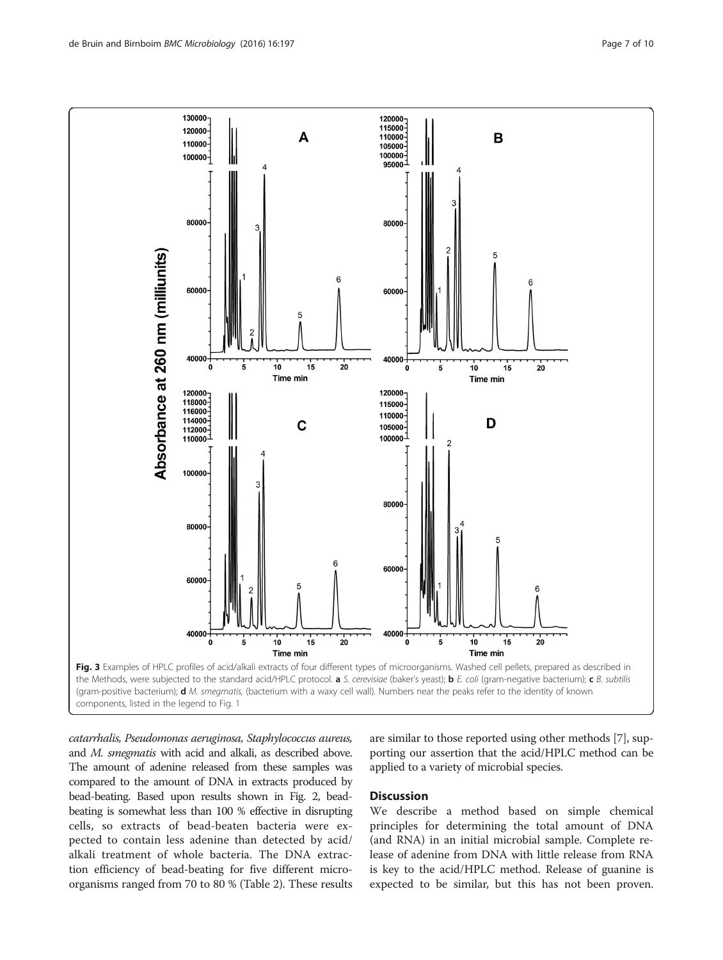<span id="page-6-0"></span>

components, listed in the legend to Fig. [1](#page-4-0)

catarrhalis, Pseudomonas aeruginosa, Staphylococcus aureus, and M. smegmatis with acid and alkali, as described above. The amount of adenine released from these samples was compared to the amount of DNA in extracts produced by bead-beating. Based upon results shown in Fig. [2,](#page-5-0) beadbeating is somewhat less than 100 % effective in disrupting cells, so extracts of bead-beaten bacteria were expected to contain less adenine than detected by acid/ alkali treatment of whole bacteria. The DNA extraction efficiency of bead-beating for five different microorganisms ranged from 70 to 80 % (Table [2\)](#page-8-0). These results are similar to those reported using other methods [\[7](#page-9-0)], supporting our assertion that the acid/HPLC method can be applied to a variety of microbial species.

## **Discussion**

We describe a method based on simple chemical principles for determining the total amount of DNA (and RNA) in an initial microbial sample. Complete release of adenine from DNA with little release from RNA is key to the acid/HPLC method. Release of guanine is expected to be similar, but this has not been proven.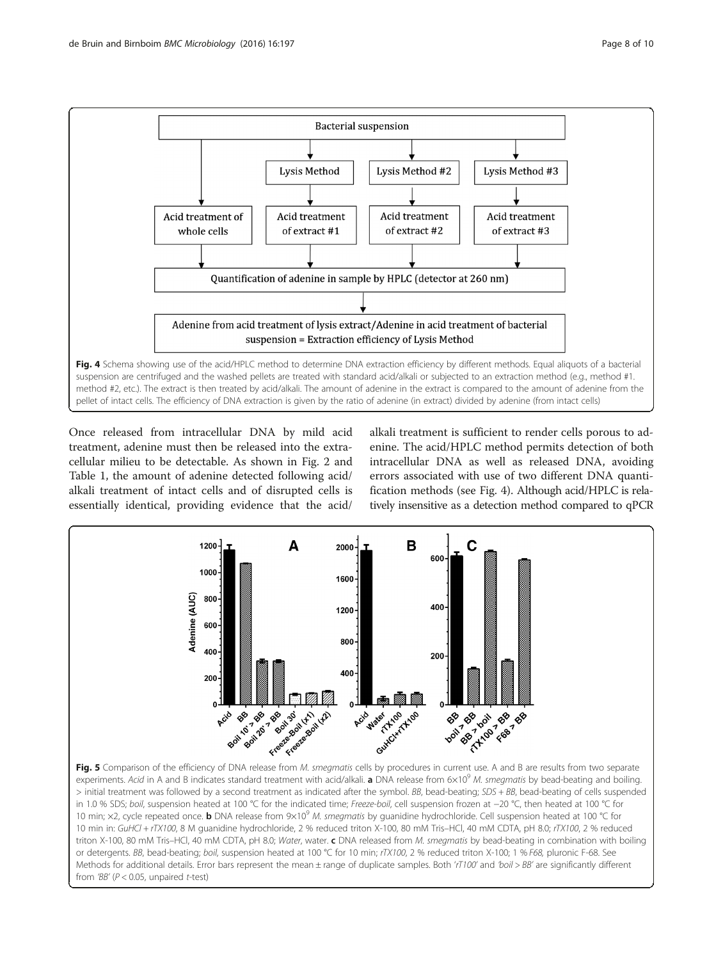<span id="page-7-0"></span>

Once released from intracellular DNA by mild acid treatment, adenine must then be released into the extracellular milieu to be detectable. As shown in Fig. [2](#page-5-0) and Table [1](#page-5-0), the amount of adenine detected following acid/ alkali treatment of intact cells and of disrupted cells is essentially identical, providing evidence that the acid/

alkali treatment is sufficient to render cells porous to adenine. The acid/HPLC method permits detection of both intracellular DNA as well as released DNA, avoiding errors associated with use of two different DNA quantification methods (see Fig. 4). Although acid/HPLC is relatively insensitive as a detection method compared to qPCR



experiments. Acid in A and B indicates standard treatment with acid/alkali. **a** DNA release from  $6\times10^9$  M. smegmatis by bead-beating and boiling. > initial treatment was followed by a second treatment as indicated after the symbol. BB, bead-beating; SDS + BB, bead-beating of cells suspended in 1.0 % SDS; boil, suspension heated at 100 °C for the indicated time; Freeze-boil, cell suspension frozen at −20 °C, then heated at 100 °C for 10 min;  $\times$ 2, cycle repeated once. **b** DNA release from  $9\times10^9$  *M. smegmatis* by guanidine hydrochloride. Cell suspension heated at 100 °C for 10 min in: GuHCl + rTX100, 8 M guanidine hydrochloride, 2 % reduced triton X-100, 80 mM Tris–HCl, 40 mM CDTA, pH 8.0; rTX100, 2 % reduced triton X-100, 80 mM Tris-HCl, 40 mM CDTA, pH 8.0; Water, water. c DNA released from M. smegmatis by bead-beating in combination with boiling or detergents. BB, bead-beating; boil, suspension heated at 100 °C for 10 min; rTX100, 2 % reduced triton X-100; 1 % F68, pluronic F-68. See [Methods](#page-1-0) for additional details. Error bars represent the mean ± range of duplicate samples. Both 'rT100' and 'boil > BB' are significantly different from 'BB' ( $P < 0.05$ , unpaired t-test)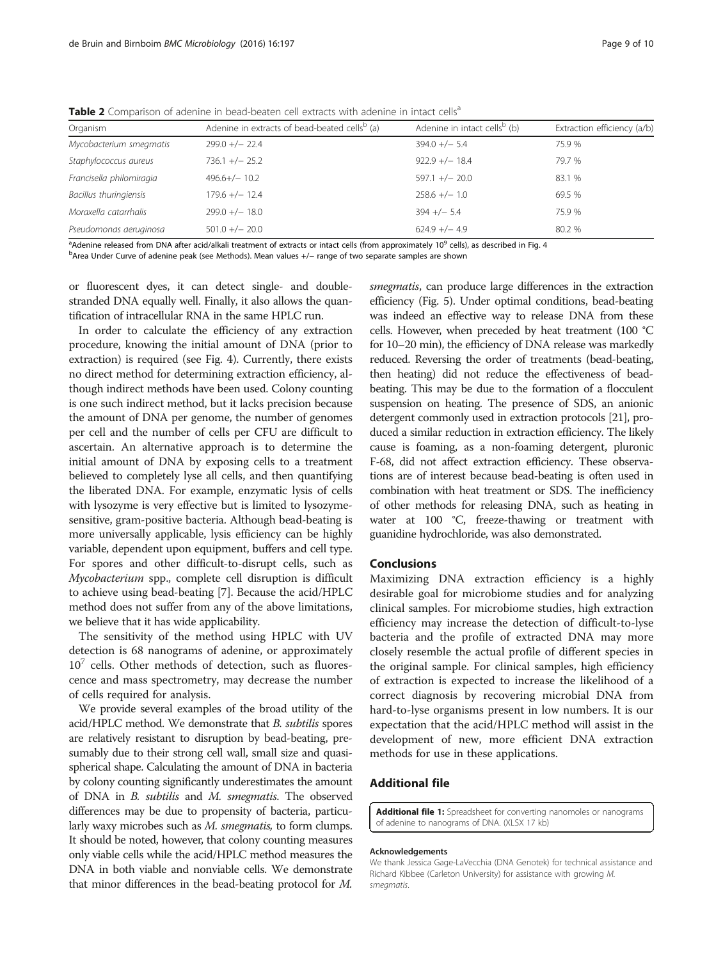| Organism                 | Adenine in extracts of bead-beated cells <sup>b</sup> (a) | Adenine in intact cells <sup>b</sup> (b) | Extraction efficiency (a/b) |
|--------------------------|-----------------------------------------------------------|------------------------------------------|-----------------------------|
| Mycobacterium smegmatis  | $299.0 +/- 22.4$                                          | $394.0 +/- 5.4$                          | 75.9 %                      |
| Staphylococcus aureus    | $736.1 +/- 25.2$                                          | $922.9 +/- 18.4$                         | 79.7 %                      |
| Francisella philomiragia | $496.6+/- 10.2$                                           | $597.1 +/- 20.0$                         | 83.1 %                      |
| Bacillus thuringiensis   | $179.6 +/- 12.4$                                          | $258.6 +/- 1.0$                          | 69.5 %                      |
| Moraxella catarrhalis    | $299.0 +/- 18.0$                                          | $394 +/- 5.4$                            | 75.9 %                      |
| Pseudomonas aeruginosa   | $501.0 +/- 20.0$                                          | $624.9 +/- 4.9$                          | 80.2 %                      |

<span id="page-8-0"></span>Table 2 Comparison of adenine in bead-beaten cell extracts with adenine in intact cells<sup>a</sup>

a<br>Adenine released from DNA after acid/alkali treatment of extracts or intact cells (from approximately 10<sup>9</sup> cells), as described in Fig. [4](#page-7-0)<br>Parea Under Curve of adening park (see Methods), Maan values +/- range of two sep

Area Under Curve of adenine peak [\(see Methods\)](#page-1-0). Mean values +/− range of two separate samples are shown

or fluorescent dyes, it can detect single- and doublestranded DNA equally well. Finally, it also allows the quantification of intracellular RNA in the same HPLC run.

In order to calculate the efficiency of any extraction procedure, knowing the initial amount of DNA (prior to extraction) is required (see Fig. [4\)](#page-7-0). Currently, there exists no direct method for determining extraction efficiency, although indirect methods have been used. Colony counting is one such indirect method, but it lacks precision because the amount of DNA per genome, the number of genomes per cell and the number of cells per CFU are difficult to ascertain. An alternative approach is to determine the initial amount of DNA by exposing cells to a treatment believed to completely lyse all cells, and then quantifying the liberated DNA. For example, enzymatic lysis of cells with lysozyme is very effective but is limited to lysozymesensitive, gram-positive bacteria. Although bead-beating is more universally applicable, lysis efficiency can be highly variable, dependent upon equipment, buffers and cell type. For spores and other difficult-to-disrupt cells, such as Mycobacterium spp., complete cell disruption is difficult to achieve using bead-beating [\[7](#page-9-0)]. Because the acid/HPLC method does not suffer from any of the above limitations, we believe that it has wide applicability.

The sensitivity of the method using HPLC with UV detection is 68 nanograms of adenine, or approximately  $10<sup>7</sup>$  cells. Other methods of detection, such as fluorescence and mass spectrometry, may decrease the number of cells required for analysis.

We provide several examples of the broad utility of the acid/HPLC method. We demonstrate that B. subtilis spores are relatively resistant to disruption by bead-beating, presumably due to their strong cell wall, small size and quasispherical shape. Calculating the amount of DNA in bacteria by colony counting significantly underestimates the amount of DNA in B. subtilis and M. smegmatis. The observed differences may be due to propensity of bacteria, particularly waxy microbes such as M. smegmatis, to form clumps. It should be noted, however, that colony counting measures only viable cells while the acid/HPLC method measures the DNA in both viable and nonviable cells. We demonstrate that minor differences in the bead-beating protocol for M.

smegmatis, can produce large differences in the extraction efficiency (Fig. [5](#page-7-0)). Under optimal conditions, bead-beating was indeed an effective way to release DNA from these cells. However, when preceded by heat treatment (100 °C for 10–20 min), the efficiency of DNA release was markedly reduced. Reversing the order of treatments (bead-beating, then heating) did not reduce the effectiveness of beadbeating. This may be due to the formation of a flocculent suspension on heating. The presence of SDS, an anionic detergent commonly used in extraction protocols [\[21\]](#page-9-0), produced a similar reduction in extraction efficiency. The likely cause is foaming, as a non-foaming detergent, pluronic F-68, did not affect extraction efficiency. These observations are of interest because bead-beating is often used in combination with heat treatment or SDS. The inefficiency of other methods for releasing DNA, such as heating in water at 100 °C, freeze-thawing or treatment with guanidine hydrochloride, was also demonstrated.

### Conclusions

Maximizing DNA extraction efficiency is a highly desirable goal for microbiome studies and for analyzing clinical samples. For microbiome studies, high extraction efficiency may increase the detection of difficult-to-lyse bacteria and the profile of extracted DNA may more closely resemble the actual profile of different species in the original sample. For clinical samples, high efficiency of extraction is expected to increase the likelihood of a correct diagnosis by recovering microbial DNA from hard-to-lyse organisms present in low numbers. It is our expectation that the acid/HPLC method will assist in the development of new, more efficient DNA extraction methods for use in these applications.

### Additional file

[Additional file 1:](dx.doi.org/10.1186/s12866-016-0815-3) Spreadsheet for converting nanomoles or nanograms of adenine to nanograms of DNA. (XLSX 17 kb)

#### Acknowledgements

We thank Jessica Gage-LaVecchia (DNA Genotek) for technical assistance and Richard Kibbee (Carleton University) for assistance with growing M. smegmatis.